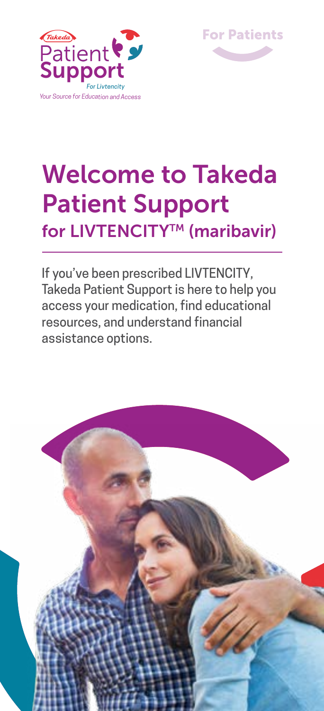



# Welcome to Takeda Patient Support for LIVTENCITY<sup>™</sup> (maribavir)

If you've been prescribed LIVTENCITY, Takeda Patient Support is here to help you access your medication, find educational resources, and understand financial assistance options.

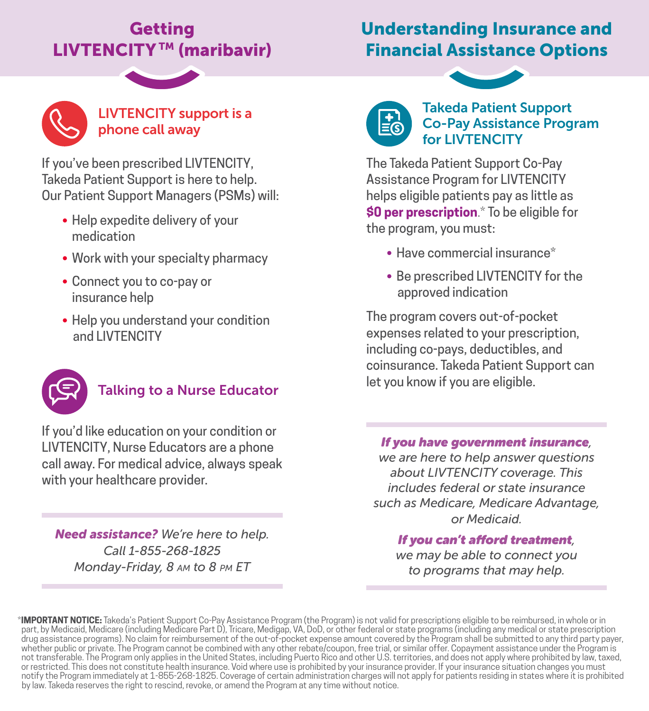# Getting LIVTENCITY™ (maribavir)

# Understanding Insurance and Financial Assistance Options



### LIVTENCITY support is a phone call away

If you've been prescribed LIVTENCITY, Takeda Patient Support is here to help. Our Patient Support Managers (PSMs) will:

- Help expedite delivery of your medication
- Work with your specialty pharmacy
- Connect you to co-pay or insurance help
- Help you understand your condition and LIVTENCITY



## Talking to a Nurse Educator

If you'd like education on your condition or LIVTENCITY, Nurse Educators are a phone call away. For medical advice, always speak with your healthcare provider.

*Need assistance? We're here to help. Call 1-855-268-1825 Monday-Friday, 8 am to 8 pm ET*



#### Takeda Patient Support Co-Pay Assistance Program for LIVTENCITY

The Takeda Patient Support Co-Pay Assistance Program for LIVTENCITY helps eligible patients pay as little as **\$0 per prescription**.\* To be eligible for the program, you must:

- Have commercial insurance\*
- Be prescribed LIVTENCITY for the approved indication

The program covers out-of-pocket expenses related to your prescription, including co-pays, deductibles, and coinsurance. Takeda Patient Support can let you know if you are eligible.

#### *If you have government insurance,*

*we are here to help answer questions about LIVTENCITY coverage. This includes federal or state insurance such as Medicare, Medicare Advantage, or Medicaid.* 

*If you can't afford treatment, we may be able to connect you to programs that may help.*

\***IMPORTANT NOTICE:** Takeda's Patient Support Co-Pay Assistance Program (the Program) is not valid for prescriptions eligible to be reimbursed, in whole or in<br>part, by Medicaid, Medicare (including Medicare Part D), Tricar drug assistance programs). No claim for reimbursement of the out-of-pocket expense amount covered by the Program shall be submitted to any third party payer, whether public or private. The Program cannot be combined with any other rebate/coupon, free trial, or similar offer. Copayment assistance under the Program is not transferable. The Program only applies in the United States, including Puerto Rico and other U.S. territories, and does not apply where prohibited by law, taxed, or restricted. This does not constitute health insurance. Void where use is prohibited by your insurance provider. If your insurance situation changes you must notify the Program immediately at 1-855-268-1825. Coverage of certain administration charges will not apply for patients residing in states where it is prohibited by law. Takeda reserves the right to rescind, revoke, or amend the Program at any time without notice.